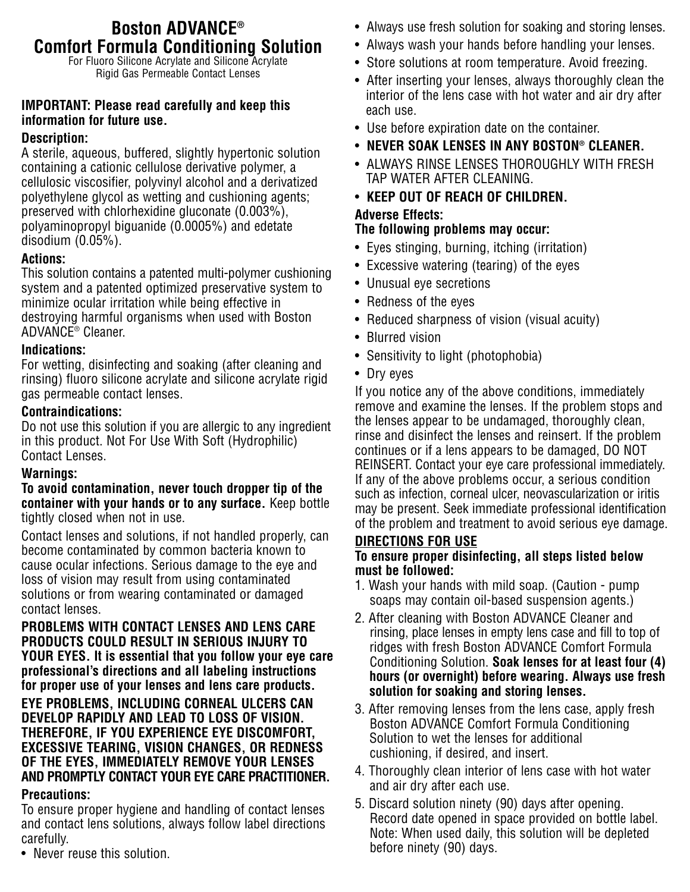# **Boston ADVANCE® Comfort Formula Conditioning Solution**

For Fluoro Silicone Acrylate and Silicone Acrylate Rigid Gas Permeable Contact Lenses

# **IMPORTANT: Please read carefully and keep this information for future use.**

# **Description:**

A sterile, aqueous, buffered, slightly hypertonic solution containing a cationic cellulose derivative polymer, a cellulosic viscosifier, polyvinyl alcohol and a derivatized polyethylene glycol as wetting and cushioning agents; preserved with chlorhexidine gluconate (0.003%), polyaminopropyl biguanide (0.0005%) and edetate disodium (0.05%).

# **Actions:**

This solution contains a patented multi-polymer cushioning system and a patented optimized preservative system to minimize ocular irritation while being effective in destroying harmful organisms when used with Boston ADVANCE® Cleaner.

#### **Indications:**

For wetting, disinfecting and soaking (after cleaning and rinsing) fluoro silicone acrylate and silicone acrylate rigid gas permeable contact lenses.

#### **Contraindications:**

Do not use this solution if you are allergic to any ingredient in this product. Not For Use With Soft (Hydrophilic) Contact Lenses.

# **Warnings:**

**To avoid contamination, never touch dropper tip of the container with your hands or to any surface.** Keep bottle tightly closed when not in use.

Contact lenses and solutions, if not handled properly, can become contaminated by common bacteria known to cause ocular infections. Serious damage to the eye and loss of vision may result from using contaminated solutions or from wearing contaminated or damaged contact lenses.

**PROBLEMS WITH CONTACT LENSES AND LENS CARE PRODUCTS COULD RESULT IN SERIOUS INJURY TO YOUR EYES. It is essential that you follow your eye care professional's directions and all labeling instructions for proper use of your lenses and lens care products.**

#### **EYE PROBLEMS, INCLUDING CORNEAL ULCERS CAN DEVELOP RAPIDLY AND LEAD TO LOSS OF VISION. THEREFORE, IF YOU EXPERIENCE EYE DISCOMFORT, EXCESSIVE TEARING, VISION CHANGES, OR REDNESS OF THE EYES, IMMEDIATELY REMOVE YOUR LENSES AND PROMPTLY CONTACT YOUR EYE CARE PRACTITIONER.**

#### **Precautions:**

To ensure proper hygiene and handling of contact lenses and contact lens solutions, always follow label directions carefully.

• Never reuse this solution.

- Always use fresh solution for soaking and storing lenses.
- Always wash your hands before handling your lenses.
- Store solutions at room temperature. Avoid freezing.
- After inserting your lenses, always thoroughly clean the interior of the lens case with hot water and air dry after each use.
- Use before expiration date on the container.
- **NEVER SOAK LENSES IN ANY BOSTON® CLEANER.**
- ALWAYS RINSE LENSES THOROUGHLY WITH FRESH TAP WATER AFTER CLEANING.
- **KEEP OUT OF REACH OF CHILDREN. Adverse Effects:**

# **The following problems may occur:**

- Eyes stinging, burning, itching (irritation)
- Excessive watering (tearing) of the eyes
- Unusual eye secretions
- Redness of the eyes
- Reduced sharpness of vision (visual acuity)
- Blurred vision
- Sensitivity to light (photophobia)
- Dry eyes

If you notice any of the above conditions, immediately remove and examine the lenses. If the problem stops and the lenses appear to be undamaged, thoroughly clean, rinse and disinfect the lenses and reinsert. If the problem continues or if a lens appears to be damaged, DO NOT REINSERT. Contact your eye care professional immediately. If any of the above problems occur, a serious condition such as infection, corneal ulcer, neovascularization or iritis may be present. Seek immediate professional identification of the problem and treatment to avoid serious eye damage.

# **DIRECTIONS FOR USE**

#### **To ensure proper disinfecting, all steps listed below must be followed:**

- 1. Wash your hands with mild soap. (Caution pump soaps may contain oil-based suspension agents.)
- 2. After cleaning with Boston ADVANCE Cleaner and rinsing, place lenses in empty lens case and fill to top of ridges with fresh Boston ADVANCE Comfort Formula Conditioning Solution. **Soak lenses for at least four (4) hours (or overnight) before wearing. Always use fresh solution for soaking and storing lenses.**
- 3. After removing lenses from the lens case, apply fresh Boston ADVANCE Comfort Formula Conditioning Solution to wet the lenses for additional cushioning, if desired, and insert.
- 4. Thoroughly clean interior of lens case with hot water and air dry after each use.
- 5. Discard solution ninety (90) days after opening. Record date opened in space provided on bottle label. Note: When used daily, this solution will be depleted before ninety (90) days.